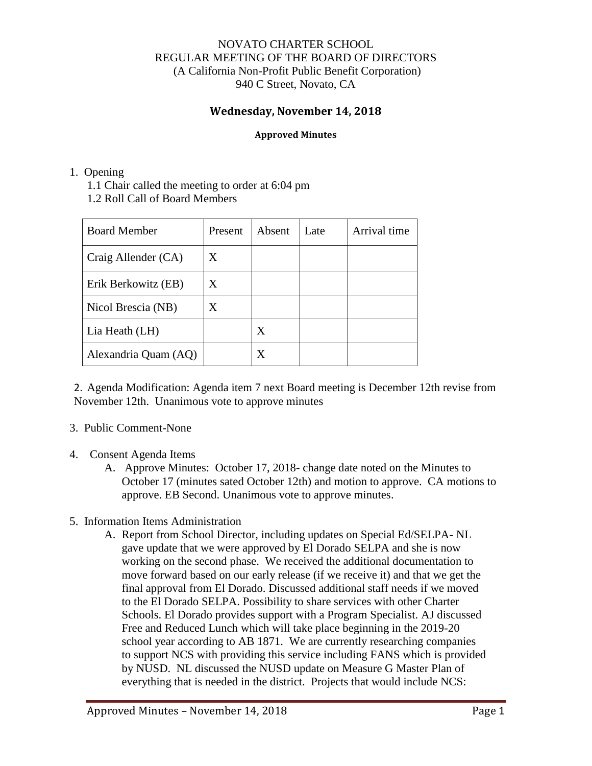## NOVATO CHARTER SCHOOL REGULAR MEETING OF THE BOARD OF DIRECTORS (A California Non-Profit Public Benefit Corporation) 940 C Street, Novato, CA

# **Wednesday, November 14, 2018**

#### **Approved Minutes**

### 1. Opening

1.1 Chair called the meeting to order at 6:04 pm

1.2 Roll Call of Board Members

| <b>Board Member</b>  | Present | Absent | Late | Arrival time |
|----------------------|---------|--------|------|--------------|
| Craig Allender (CA)  | X       |        |      |              |
| Erik Berkowitz (EB)  | X       |        |      |              |
| Nicol Brescia (NB)   | X       |        |      |              |
| Lia Heath (LH)       |         | X      |      |              |
| Alexandria Quam (AQ) |         | X      |      |              |

2. Agenda Modification: Agenda item 7 next Board meeting is December 12th revise from November 12th. Unanimous vote to approve minutes

### 3. Public Comment-None

# 4. Consent Agenda Items

- A. Approve Minutes: October 17, 2018- change date noted on the Minutes to October 17 (minutes sated October 12th) and motion to approve. CA motions to approve. EB Second. Unanimous vote to approve minutes.
- 5. Information Items Administration
	- A. Report from School Director, including updates on Special Ed/SELPA- NL gave update that we were approved by El Dorado SELPA and she is now working on the second phase. We received the additional documentation to move forward based on our early release (if we receive it) and that we get the final approval from El Dorado. Discussed additional staff needs if we moved to the El Dorado SELPA. Possibility to share services with other Charter Schools. El Dorado provides support with a Program Specialist. AJ discussed Free and Reduced Lunch which will take place beginning in the 2019-20 school year according to AB 1871. We are currently researching companies to support NCS with providing this service including FANS which is provided by NUSD. NL discussed the NUSD update on Measure G Master Plan of everything that is needed in the district. Projects that would include NCS: